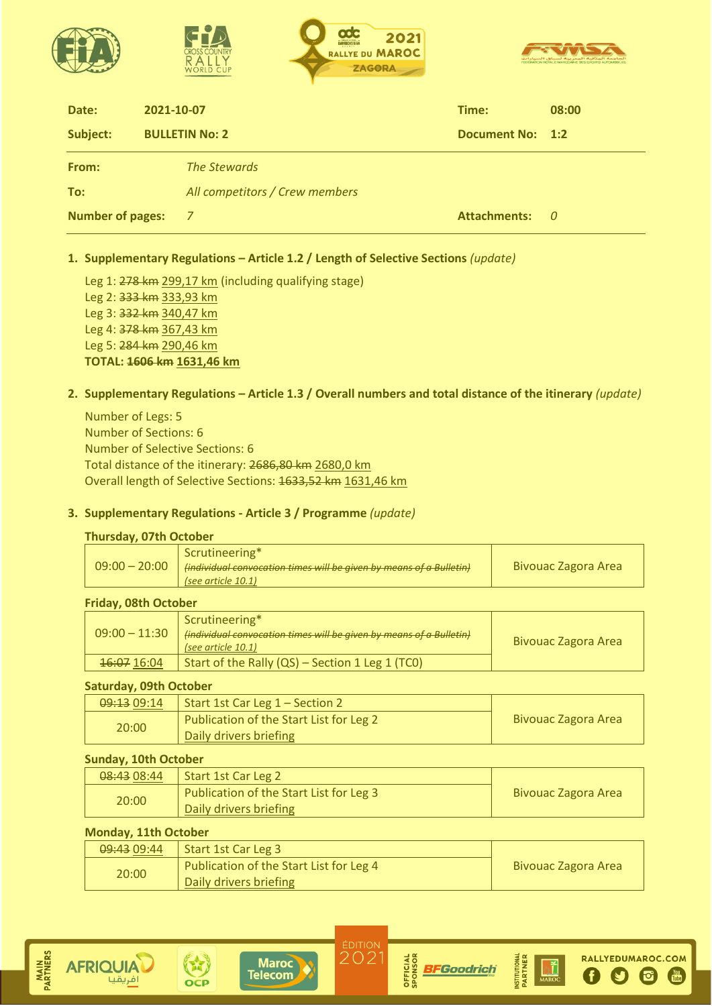|                         | 2021<br>DAVIDCASTER<br><b>RALLYE DU MAROC</b><br><b>CROSS COLINTRY</b><br><b>ZAGORA</b><br><b>WORLD CUP</b> |                         | الحامعة الملكية المعربية لسياق السيارات<br>EDEBATION BOYALE MAROCAINE DES SPORTS ALITOMORILES |
|-------------------------|-------------------------------------------------------------------------------------------------------------|-------------------------|-----------------------------------------------------------------------------------------------|
| Date:                   | 2021-10-07                                                                                                  | Time:                   | 08:00                                                                                         |
| Subject:                | <b>BULLETIN No: 2</b>                                                                                       | <b>Document No: 1:2</b> |                                                                                               |
| From:                   | <b>The Stewards</b>                                                                                         |                         |                                                                                               |
| To:                     | All competitors / Crew members                                                                              |                         |                                                                                               |
| <b>Number of pages:</b> | 7                                                                                                           | <b>Attachments:</b>     | - 0                                                                                           |

### **1. Supplementary Regulations – Article 1.2 / Length of Selective Sections** *(update)*

Leg 1: 278 km 299,17 km (including qualifying stage) Leg 2: 333 km 333,93 km Leg 3: 332 km 340,47 km Leg 4: 378 km 367,43 km Leg 5: 284 km 290,46 km **TOTAL: 1606 km 1631,46 km**

### **2. Supplementary Regulations – Article 1.3 / Overall numbers and total distance of the itinerary** *(update)*

Number of Legs: 5 Number of Sections: 6 Number of Selective Sections: 6 Total distance of the itinerary: 2686,80 km 2680,0 km Overall length of Selective Sections: 1633,52 km 1631,46 km

#### **3. Supplementary Regulations - Article 3 / Programme** *(update)*

#### **Thursday, 07th October**

| Scrutineering*<br>$09:00 - 20:00$<br>  (individual convocation times will be given by means of a Bulletin)<br>(see article 10.1) | <b>Bivouac Zagora Area</b> |
|----------------------------------------------------------------------------------------------------------------------------------|----------------------------|
|----------------------------------------------------------------------------------------------------------------------------------|----------------------------|

#### **Friday, 08th October**

| $09:00 - 11:30$ | Scrutineering*<br>(individual convocation times will be given by means of a Bulletin)<br>(see article $10.1$ ) | <b>Bivouac Zagora Area</b> |
|-----------------|----------------------------------------------------------------------------------------------------------------|----------------------------|
| 16:07 16:04     | Start of the Rally $(QS)$ – Section 1 Leg 1 (TCO)                                                              |                            |

#### **Saturday, 09th October**

| 09:13 09:14 | Start 1st Car Leg 1 – Section 2         |                            |
|-------------|-----------------------------------------|----------------------------|
| 20:00       | Publication of the Start List for Leg 2 | <b>Bivouac Zagora Area</b> |
|             | Daily drivers briefing                  |                            |

#### **Sunday, 10th October**

| 08:43 08:44 | Start 1st Car Leg 2                     |                     |  |
|-------------|-----------------------------------------|---------------------|--|
| 20:00       | Publication of the Start List for Leg 3 | Bivouac Zagora Area |  |
|             | Daily drivers briefing                  |                     |  |

### **Monday, 11th October**

| 09:43 09:44 | Start 1st Car Leg 3                     |                            |  |
|-------------|-----------------------------------------|----------------------------|--|
| 20:00       | Publication of the Start List for Leg 4 | <b>Bivouac Zagora Area</b> |  |
|             | Daily drivers briefing                  |                            |  |



**AFRIQUIA** 

فريقيا









 $\Omega$ 

 $\mathbf{G}$ 

 $\frac{Y_{011}}{Y_{111}}$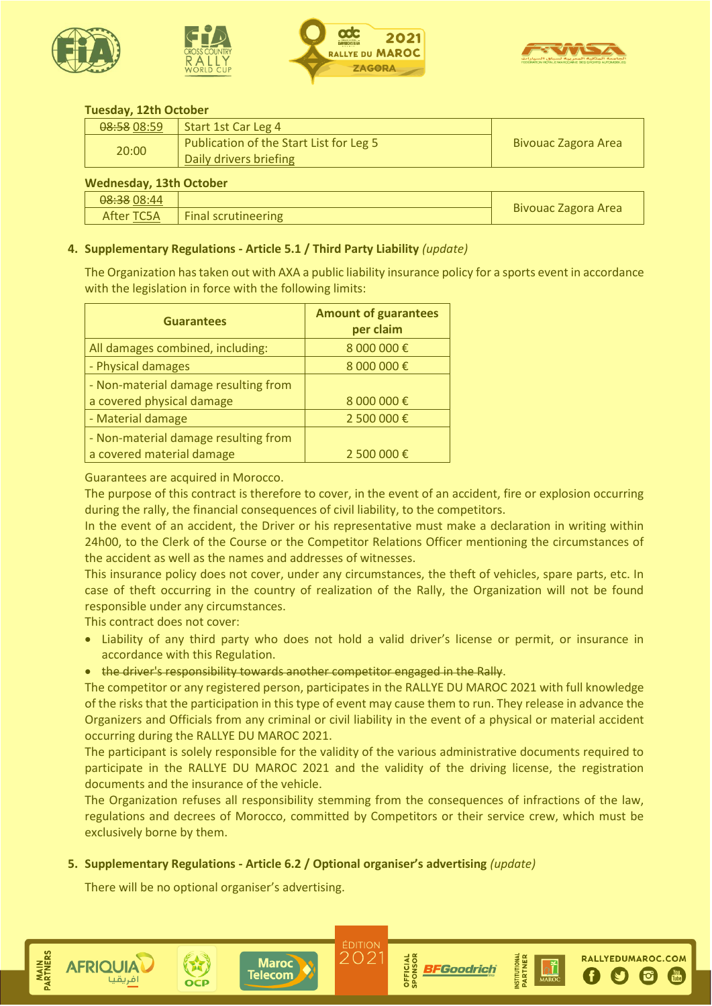







RALLYEDUMAROC.COM

 $\overline{6}$ 

### **Tuesday, 12th October**

| 08:58 08:59 | Start 1st Car Leg 4                     |                     |  |
|-------------|-----------------------------------------|---------------------|--|
| 20:00       | Publication of the Start List for Leg 5 | Bivouac Zagora Area |  |
|             | Daily drivers briefing                  |                     |  |
|             |                                         |                     |  |

#### **Wednesday, 13th October**

| <b><i>INCREASERY, ISLE OCLUBER</i></b> |                     |                     |  |  |
|----------------------------------------|---------------------|---------------------|--|--|
| <del>08:38</del> 08:44                 |                     |                     |  |  |
| After TC5A                             | Final scrutineering | Bivouac Zagora Area |  |  |
|                                        |                     |                     |  |  |

### **4. Supplementary Regulations - Article 5.1 / Third Party Liability** *(update)*

The Organization has taken out with AXA a public liability insurance policy for a sports event in accordance with the legislation in force with the following limits:

| <b>Guarantees</b>                    | <b>Amount of guarantees</b><br>per claim |
|--------------------------------------|------------------------------------------|
| All damages combined, including:     | 8 000 000 €                              |
| - Physical damages                   | 8 000 000 €                              |
| - Non-material damage resulting from |                                          |
| a covered physical damage            | 8 000 000 €                              |
| - Material damage                    | 2 500 000€                               |
| - Non-material damage resulting from |                                          |
| a covered material damage            | 2 500 000 €                              |

#### Guarantees are acquired in Morocco.

The purpose of this contract is therefore to cover, in the event of an accident, fire or explosion occurring during the rally, the financial consequences of civil liability, to the competitors.

In the event of an accident, the Driver or his representative must make a declaration in writing within 24h00, to the Clerk of the Course or the Competitor Relations Officer mentioning the circumstances of the accident as well as the names and addresses of witnesses.

This insurance policy does not cover, under any circumstances, the theft of vehicles, spare parts, etc. In case of theft occurring in the country of realization of the Rally, the Organization will not be found responsible under any circumstances.

This contract does not cover:

- Liability of any third party who does not hold a valid driver's license or permit, or insurance in accordance with this Regulation.
- the driver's responsibility towards another competitor engaged in the Rally.

The competitor or any registered person, participates in the RALLYE DU MAROC 2021 with full knowledge of the risks that the participation in this type of event may cause them to run. They release in advance the Organizers and Officials from any criminal or civil liability in the event of a physical or material accident occurring during the RALLYE DU MAROC 2021.

The participant is solely responsible for the validity of the various administrative documents required to participate in the RALLYE DU MAROC 2021 and the validity of the driving license, the registration documents and the insurance of the vehicle.

The Organization refuses all responsibility stemming from the consequences of infractions of the law, regulations and decrees of Morocco, committed by Competitors or their service crew, which must be exclusively borne by them.

> ÉDITION 202

**DFFICIAL** 

**BFGoodrich** 

#### **5. Supplementary Regulations - Article 6.2 / Optional organiser's advertising** *(update)*

**Maroc** 

**Telecom** 

There will be no optional organiser's advertising.

**AFRIQUIA**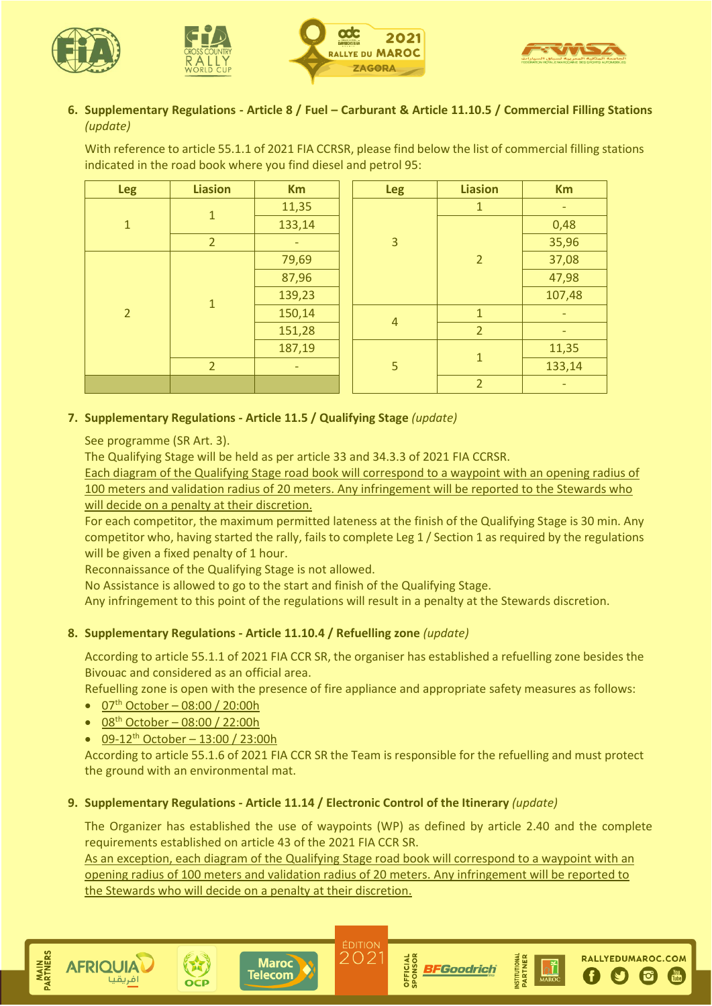







## **6. Supplementary Regulations - Article 8 / Fuel – Carburant & Article 11.10.5 / Commercial Filling Stations** *(update)*

With reference to article 55.1.1 of 2021 FIA CCRSR, please find below the list of commercial filling stations indicated in the road book where you find diesel and petrol 95:

| <b>Leg</b>     | <b>Liasion</b> | <b>Km</b> |  | <b>Leg</b>     | <b>Liasion</b> | <b>Km</b> |
|----------------|----------------|-----------|--|----------------|----------------|-----------|
|                | $\mathbf{1}$   | 11,35     |  | 3              | 1              | ٠         |
| $\overline{1}$ |                | 133,14    |  |                |                | 0,48      |
|                | $\overline{2}$ | ٠         |  |                |                | 35,96     |
|                |                | 79,69     |  |                | $\overline{2}$ | 37,08     |
|                | $\mathbf{1}$   | 87,96     |  |                |                | 47,98     |
|                |                | 139,23    |  |                |                | 107,48    |
| $\overline{2}$ |                | 150,14    |  | $\overline{4}$ | $\mathbf{1}$   | ٠         |
|                |                | 151,28    |  |                | $\overline{2}$ | ٠         |
|                |                | 187,19    |  | 5              | $\mathbf{1}$   | 11,35     |
|                | $\overline{2}$ | ٠         |  |                |                |           |
|                |                |           |  |                | $\overline{2}$ | -         |

## **7. Supplementary Regulations - Article 11.5 / Qualifying Stage** *(update)*

See programme (SR Art. 3).

The Qualifying Stage will be held as per article 33 and 34.3.3 of 2021 FIA CCRSR.

Each diagram of the Qualifying Stage road book will correspond to a waypoint with an opening radius of 100 meters and validation radius of 20 meters. Any infringement will be reported to the Stewards who will decide on a penalty at their discretion.

For each competitor, the maximum permitted lateness at the finish of the Qualifying Stage is 30 min. Any competitor who, having started the rally, fails to complete Leg 1 / Section 1 as required by the regulations will be given a fixed penalty of 1 hour.

Reconnaissance of the Qualifying Stage is not allowed.

No Assistance is allowed to go to the start and finish of the Qualifying Stage.

Any infringement to this point of the regulations will result in a penalty at the Stewards discretion.

### **8. Supplementary Regulations - Article 11.10.4 / Refuelling zone** *(update)*

According to article 55.1.1 of 2021 FIA CCR SR, the organiser has established a refuelling zone besides the Bivouac and considered as an official area.

Refuelling zone is open with the presence of fire appliance and appropriate safety measures as follows:

- 07<sup>th</sup> October 08:00 / 20:00h
- $\bullet$  08<sup>th</sup> October 08:00 / 22:00h
- 09-12<sup>th</sup> October 13:00 / 23:00h

According to article 55.1.6 of 2021 FIA CCR SR the Team is responsible for the refuelling and must protect the ground with an environmental mat.

### **9. Supplementary Regulations - Article 11.14 / Electronic Control of the Itinerary** *(update)*

The Organizer has established the use of waypoints (WP) as defined by article 2.40 and the complete requirements established on article 43 of the 2021 FIA CCR SR.

As an exception, each diagram of the Qualifying Stage road book will correspond to a waypoint with an opening radius of 100 meters and validation radius of 20 meters. Any infringement will be reported to the Stewards who will decide on a penalty at their discretion.

> ÉDITION 202









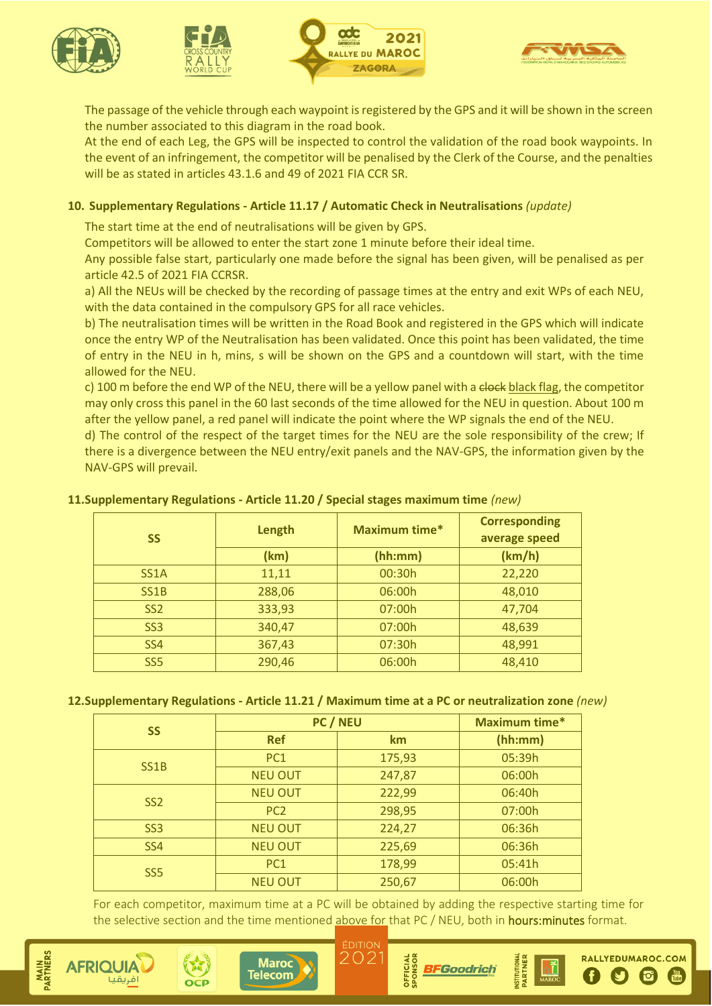







The passage of the vehicle through each waypoint is registered by the GPS and it will be shown in the screen the number associated to this diagram in the road book.

At the end of each Leg, the GPS will be inspected to control the validation of the road book waypoints. In the event of an infringement, the competitor will be penalised by the Clerk of the Course, and the penalties will be as stated in articles 43.1.6 and 49 of 2021 FIA CCR SR.

### **10. Supplementary Regulations - Article 11.17 / Automatic Check in Neutralisations** *(update)*

The start time at the end of neutralisations will be given by GPS.

Competitors will be allowed to enter the start zone 1 minute before their ideal time.

Any possible false start, particularly one made before the signal has been given, will be penalised as per article 42.5 of 2021 FIA CCRSR.

a) All the NEUs will be checked by the recording of passage times at the entry and exit WPs of each NEU, with the data contained in the compulsory GPS for all race vehicles.

b) The neutralisation times will be written in the Road Book and registered in the GPS which will indicate once the entry WP of the Neutralisation has been validated. Once this point has been validated, the time of entry in the NEU in h, mins, s will be shown on the GPS and a countdown will start, with the time allowed for the NEU.

c) 100 m before the end WP of the NEU, there will be a yellow panel with a clock black flag, the competitor may only cross this panel in the 60 last seconds of the time allowed for the NEU in question. About 100 m after the yellow panel, a red panel will indicate the point where the WP signals the end of the NEU.

d) The control of the respect of the target times for the NEU are the sole responsibility of the crew; If there is a divergence between the NEU entry/exit panels and the NAV-GPS, the information given by the NAV-GPS will prevail.

### **11.Supplementary Regulations - Article 11.20 / Special stages maximum time** *(new)*

| <b>SS</b>         | Length          | Maximum time* | <b>Corresponding</b><br>average speed |
|-------------------|-----------------|---------------|---------------------------------------|
|                   | (hh:mm)<br>(km) |               | (km/h)                                |
| SS <sub>1</sub> A | 11,11           | 00:30h        | 22,220                                |
| SS <sub>1</sub> B | 288,06          | 06:00h        | 48,010                                |
| SS <sub>2</sub>   | 333,93          | 07:00h        | 47,704                                |
| SS <sub>3</sub>   | 340,47          | 07:00h        | 48,639                                |
| <b>SS4</b>        | 367,43          | 07:30h        | 48,991                                |
| SS <sub>5</sub>   | 290,46          | 06:00h        | 48,410                                |

#### **12.Supplementary Regulations - Article 11.21 / Maximum time at a PC or neutralization zone** *(new)*

| <b>SS</b>         | PC / NEU        | <b>Maximum time*</b> |         |
|-------------------|-----------------|----------------------|---------|
|                   | <b>Ref</b>      | km                   | (hh:mm) |
| SS <sub>1</sub> B | PC1             | 175,93               | 05:39h  |
|                   | <b>NEU OUT</b>  | 247,87               | 06:00h  |
| SS <sub>2</sub>   | <b>NEU OUT</b>  | 222,99               | 06:40h  |
|                   | PC <sub>2</sub> | 298,95               | 07:00h  |
| SS <sub>3</sub>   | <b>NEU OUT</b>  | 224,27               | 06:36h  |
| SS <sub>4</sub>   | <b>NEU OUT</b>  | 225,69               | 06:36h  |
| SS <sub>5</sub>   | PC <sub>1</sub> | 178,99               | 05:41h  |
|                   | <b>NEU OUT</b>  | 250,67               | 06:00h  |

For each competitor, maximum time at a PC will be obtained by adding the respective starting time for the selective section and the time mentioned above for that PC / NEU, both in hours: minutes format.









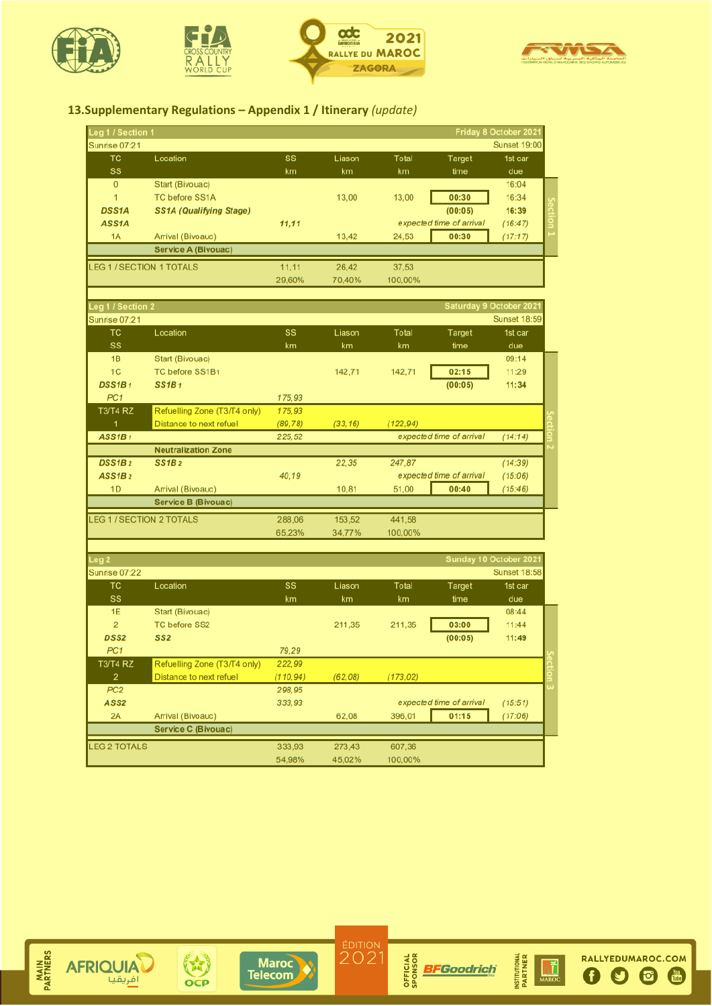







# **13.Supplementary Regulations – Appendix 1 / Itinerary** *(update)*

| Leg 1 / Section 1  |                                |        |        |         |                          | Friday 8 October 2021 |  |
|--------------------|--------------------------------|--------|--------|---------|--------------------------|-----------------------|--|
| Sunrise 07:21      |                                |        |        |         |                          | <b>Sunset 19:00</b>   |  |
| TC                 | Location                       | SS     | Liason | Total   | Target                   | 1st car               |  |
| <b>SS</b>          |                                | km     | km     | km      | time                     | due                   |  |
| $\mathbf{0}$       | Start (Bivouac)                |        |        |         |                          | 16:04                 |  |
| 1                  | <b>TC before SS1A</b>          |        | 13.00  | 13,00   | 00:30                    | 16:34                 |  |
| <b>DSS1A</b>       | <b>SS1A (Qualifying Stage)</b> |        |        |         | (00:05)                  | 16:39                 |  |
| ASS <sub>1</sub> A |                                | 11.11  |        |         | expected time of arrival | (16:47)               |  |
| 1A                 | Arrival (Bivoauc)              |        | 13,42  | 24,53   | 00:30                    | (17:17)               |  |
|                    | <b>Service A (Bivouac)</b>     |        |        |         |                          |                       |  |
|                    | <b>LEG 1/SECTION 1 TOTALS</b>  | 11.11  | 26.42  | 37.53   |                          |                       |  |
|                    |                                | 29.60% | 70.40% | 100.00% |                          |                       |  |

| Leg 1 / Section 2  |                                 |          |          |           |                          | <b>Saturday 9 October 2021</b> |  |
|--------------------|---------------------------------|----------|----------|-----------|--------------------------|--------------------------------|--|
| Sunrise 07:21      |                                 |          |          |           |                          | <b>Sunset 18:59</b>            |  |
| TC                 | Location                        | SS       | Liason   | Total     | Target                   | 1st car                        |  |
| <b>SS</b>          |                                 | km       | km       | km        | time                     | due                            |  |
| 1B                 | Start (Bivouac)                 |          |          |           |                          | 09:14                          |  |
| 1 <sub>C</sub>     | TC before SS1B1                 |          | 142.71   | 142,71    | 02:15                    | 11:29                          |  |
| DSS1B <sub>1</sub> | SS1B1                           |          |          |           | (00:05)                  | 11:34                          |  |
| PC <sub>1</sub>    |                                 | 175,93   |          |           |                          |                                |  |
| <b>T3/T4 RZ</b>    | Refuelling Zone (T3/T4 only)    | 175.93   |          |           |                          |                                |  |
|                    | Distance to next refuel         | (89, 78) | (33, 16) | (122, 94) |                          |                                |  |
| ASSIB1             |                                 | 225,52   |          |           | expected time of arrival | (14:14)                        |  |
|                    | <b>Neutralization Zone</b>      |          |          |           |                          |                                |  |
| DSS1B <sub>2</sub> | SS1B2                           |          | 22,35    | 247,87    |                          | (14:39)                        |  |
| ASSIB2             |                                 | 40,19    |          |           | expected time of arrival | (15:06)                        |  |
| 1 <sub>D</sub>     | Arrival (Bivoauc)               |          | 10,81    | 51,00     | 00:40                    | (15.46)                        |  |
|                    | <b>Service B (Bivouac)</b>      |          |          |           |                          |                                |  |
|                    | <b>LEG 1 / SECTION 2 TOTALS</b> | 288,06   | 153,52   | 441,58    |                          |                                |  |
|                    |                                 | 65.23%   | 34.77%   | 100.00%   |                          |                                |  |

| Leg <sub>2</sub>    |                              |          |         |           |                          | Sunday 10 October 2021 |  |
|---------------------|------------------------------|----------|---------|-----------|--------------------------|------------------------|--|
| Sunrise 07:22       |                              |          |         |           |                          | <b>Sunset 18:58</b>    |  |
| <b>TC</b>           | Location                     | SS       | Liason  | Total     | Target                   | 1st car                |  |
|                     |                              |          |         |           |                          |                        |  |
| <b>SS</b>           |                              | km       | km      | km        | time                     | due                    |  |
| 1E                  | Start (Bivouac)              |          |         |           |                          | 08:44                  |  |
| $\overline{2}$      | <b>TC before SS2</b>         |          | 211.35  | 211,35    | 03:00                    | 11:44                  |  |
| <b>DSS2</b>         | SS <sub>2</sub>              |          |         |           | (00:05)                  | 11:49                  |  |
| PC <sub>1</sub>     |                              | 79.29    |         |           |                          |                        |  |
| <b>T3/T4 RZ</b>     | Refuelling Zone (T3/T4 only) | 222,99   |         |           |                          |                        |  |
| $\overline{2}$      | Distance to next refuel      | (110.94) | (62,08) | (173, 02) |                          |                        |  |
| PC <sub>2</sub>     |                              | 298,95   |         |           |                          |                        |  |
| ASS <sub>2</sub>    |                              | 333.93   |         |           | expected time of arrival | (15:51)                |  |
| 2A                  | Arrival (Bivoauc)            |          | 62.08   | 396.01    | 01:15                    | (17:06)                |  |
|                     | <b>Service C (Bivouac)</b>   |          |         |           |                          |                        |  |
| <b>LEG 2 TOTALS</b> |                              | 333.93   | 273.43  | 607.36    |                          |                        |  |
|                     |                              | 54.98%   | 45.02%  | 100.00%   |                          |                        |  |









 $\overset{\text{ÉDITION}}{2021}$ 



RALLYEDUMAROC.COM

 $0000$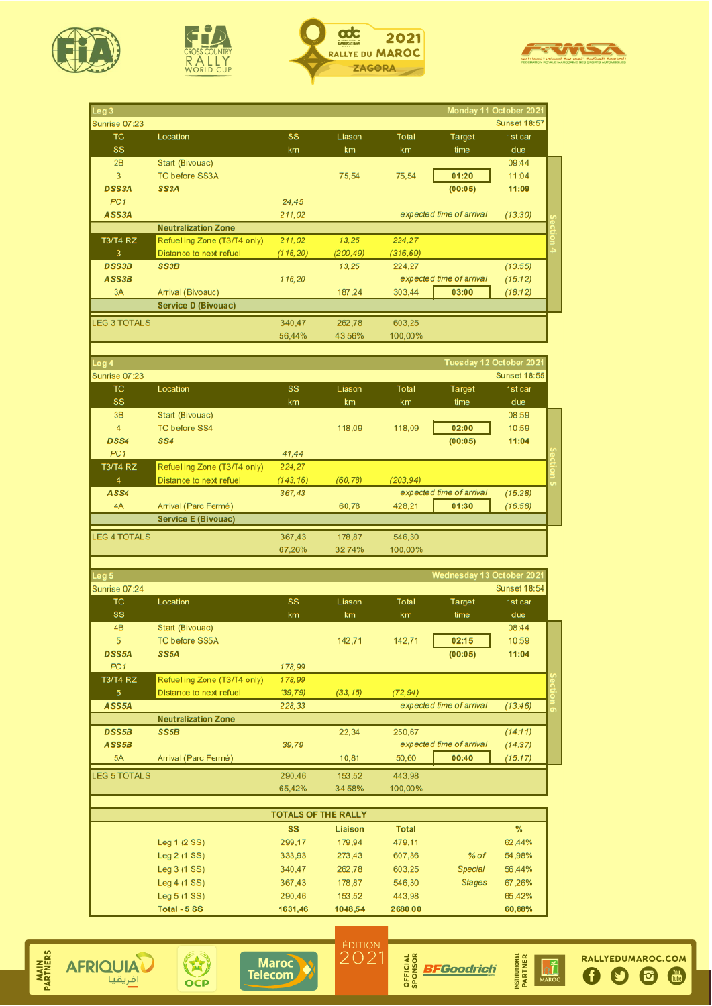







| Leg <sub>3</sub>                   |                                                         |                            |                    |                     | Monday 11 October 202    |                                |  |
|------------------------------------|---------------------------------------------------------|----------------------------|--------------------|---------------------|--------------------------|--------------------------------|--|
| <b>Sunrise 07:23</b>               |                                                         |                            |                    |                     |                          | <b>Sunset 18:57</b>            |  |
| тc<br>SS                           | Location                                                | SS<br>km                   | Liason<br>km       | Total<br>km         | Target<br>time           | 1st car<br>due                 |  |
| 2B                                 | <b>Start (Bivouac)</b>                                  |                            |                    |                     |                          | 09:44                          |  |
| 3                                  | <b>TC before SS3A</b>                                   |                            | 75,54              | 75,54               | 01:20                    | 11:04                          |  |
| <b>DSS3A</b>                       | SS <sub>3</sub> A                                       |                            |                    |                     | (00:05)                  | 11:09                          |  |
| PC <sub>1</sub>                    |                                                         | 24,45                      |                    |                     |                          |                                |  |
| ASS3A                              |                                                         | 211,02                     |                    |                     | expected time of arrival | (13:30)                        |  |
|                                    | <b>Neutralization Zone</b>                              |                            |                    |                     |                          |                                |  |
| <b>T3/T4 RZ</b><br>3               | Refuelling Zone (T3/T4 only)<br>Distance to next refuel | 211,02<br>(116, 20)        | 13.25<br>(200, 49) | 224,27<br>(316, 69) |                          |                                |  |
| <b>DSS3B</b>                       | SS <sub>3</sub> B                                       |                            | 13,25              | 224,27              |                          | (13:55)                        |  |
| ASS3B                              |                                                         | 116,20                     |                    |                     | expected time of arrival | (15:12)                        |  |
| 3A                                 | Arrival (Bivoauc)                                       |                            | 187,24             | 303,44              | 03:00                    | (18:12)                        |  |
|                                    | <b>Service D (Bivouac)</b>                              |                            |                    |                     |                          |                                |  |
| <b>LEG 3 TOTALS</b>                |                                                         | 340,47                     | 262,78             | 603.25              |                          |                                |  |
|                                    |                                                         | 56,44%                     | 43,56%             | 100,00%             |                          |                                |  |
|                                    |                                                         |                            |                    |                     |                          |                                |  |
| Leg 4                              |                                                         |                            |                    |                     | Tuesday 12 October 202   |                                |  |
| Sunrise 07:23<br>TC                | Location                                                | SS                         | Liason             | Total               | Target                   | <b>Sunset 18:55</b><br>1st car |  |
| SS                                 |                                                         | km                         | km                 | km                  | time                     | due                            |  |
| 3B                                 | <b>Start (Bivouac)</b>                                  |                            |                    |                     |                          | 08:59                          |  |
| 4                                  | <b>TC before SS4</b>                                    |                            | 118.09             | 118.09              | 02:00                    | 10:59                          |  |
| DSS4                               | SS4                                                     |                            |                    |                     | (00:05)                  | 11:04                          |  |
| PC <sub>1</sub>                    |                                                         | 41,44                      |                    |                     |                          |                                |  |
| <b>T3/T4 RZ</b>                    | Refuelling Zone (T3/T4 only)                            | 224,27                     |                    |                     |                          |                                |  |
| 4                                  | Distance to next refuel                                 | (143, 16)                  | (60, 78)           | (203.94)            |                          |                                |  |
| ASS4                               |                                                         | 367,43                     |                    |                     | expected time of arrival | (15:28)                        |  |
| 4A                                 | Arrival (Parc Fermé)                                    |                            | 60,78              | 428,21              | 01:30                    | (16:58)                        |  |
|                                    | <b>Service E (Bivouac)</b>                              |                            |                    |                     |                          |                                |  |
| <b>LEG 4 TOTALS</b>                |                                                         | 367,43                     | 178,87             | 546,30              |                          |                                |  |
|                                    |                                                         | 67,26%                     | 32,74%             | 100,00%             |                          |                                |  |
| Leg <sub>5</sub>                   |                                                         |                            |                    |                     | Wednesday 13 October 202 |                                |  |
| Sunrise 07:24                      |                                                         |                            |                    |                     |                          | <b>Sunset 18:54</b>            |  |
| ТC                                 | Location                                                | SS                         | Liason             | Total               | Target                   | 1st car                        |  |
| SS                                 |                                                         | km                         | km                 | km                  | time                     | due                            |  |
| 4B                                 | Start (Bivouac)                                         |                            |                    |                     |                          | 08:44                          |  |
| 5                                  | <b>TC before SS5A</b>                                   |                            | 142,71             | 142,71              | 02:15                    | 10:59                          |  |
| <b>DSS5A</b>                       | SS <sub>5</sub> A                                       |                            |                    |                     | (00:05)                  | 11:04                          |  |
| PC <sub>1</sub><br><b>T3/T4 RZ</b> | Refuelling Zone (T3/T4 only)                            | 178,99<br>178,99           |                    |                     |                          |                                |  |
| 5 <sup>5</sup>                     | Distance to next refuel                                 | (39, 79)                   | (33, 15)           | (72, 94)            |                          |                                |  |
| ASS5A                              |                                                         | 228,33                     |                    |                     | expected time of arrival | (13:46)                        |  |
|                                    | <b>Neutralization Zone</b>                              |                            |                    |                     |                          |                                |  |
| <b>DSS5B</b>                       | SS <sub>5</sub> B                                       |                            | 22,34              | 250,67              |                          | (14:11)                        |  |
| ASS5B                              |                                                         | 39,79                      |                    |                     | expected time of arrival | (14:37)                        |  |
| 5A                                 | Arrival (Parc Fermé)                                    |                            | 10,81              | 50,60               | 00:40                    | (15:17)                        |  |
| <b>LEG 5 TOTALS</b>                |                                                         | 290,46                     | 153,52             | 443,98              |                          |                                |  |
|                                    |                                                         | 65,42%                     | 34,58%             | 100,00%             |                          |                                |  |
|                                    |                                                         | <b>TOTALS OF THE RALLY</b> |                    |                     |                          |                                |  |
|                                    |                                                         | <b>SS</b>                  | <b>Liaison</b>     | <b>Total</b>        |                          | %                              |  |
|                                    | Leg 1 (2 SS)                                            | 299,17                     | 179,94             | 479,11              |                          | 62,44%                         |  |
|                                    | Leg 2 (1 SS)                                            | 333,93                     | 273,43             | 607,36              | % of                     | 54,98%                         |  |
|                                    | Leg 3 (1 SS)                                            | 340,47                     | 262,78             | 603,25              | <b>Special</b>           | 56,44%                         |  |
|                                    | Leg $4(1SS)$                                            | 367,43                     | 178,87             | 546,30              | <b>Stages</b>            | 67,26%                         |  |
|                                    | Leg 5 (1 SS)                                            | 290,46                     | 153,52             | 443,98              |                          | 65,42%                         |  |





Total - 5 SS



1631,46

1048,54



2680,00



You<br>Tuhe

60,88%